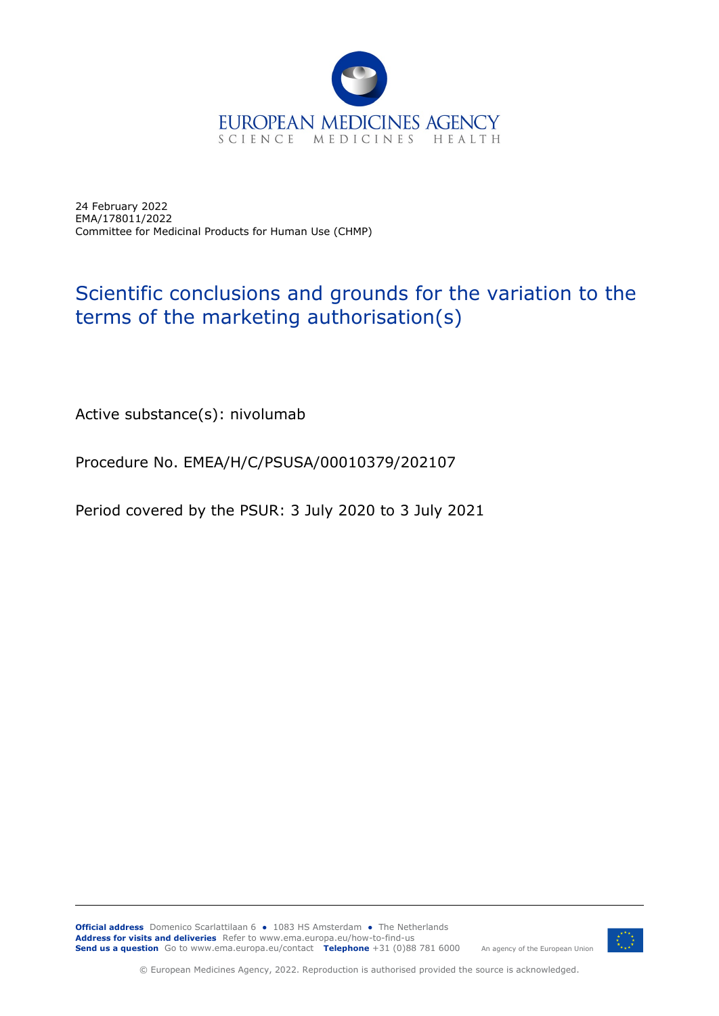

24 February 2022 EMA/178011/2022 Committee for Medicinal Products for Human Use (CHMP)

## Scientific conclusions and grounds for the variation to the terms of the marketing authorisation(s)

Active substance(s): nivolumab

Procedure No. EMEA/H/C/PSUSA/00010379/202107

Period covered by the PSUR: 3 July 2020 to 3 July 2021